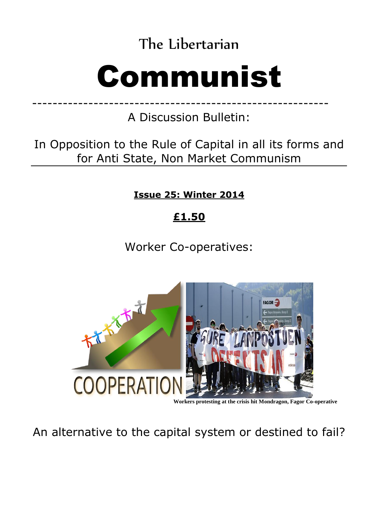The Libertarian

# Communist

---------------------------------------------------------- A Discussion Bulletin:

In Opposition to the Rule of Capital in all its forms and for Anti State, Non Market Communism

**Issue 25: Winter 2014** 

## **£1.50**

Worker Co-operatives:



**Workers protesting at the crisis hit Mondragon, Fagor Co-operative**

An alternative to the capital system or destined to fail?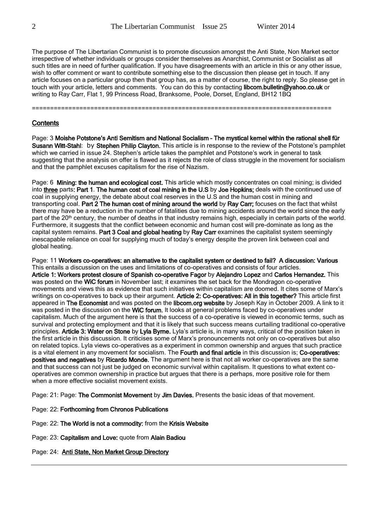The purpose of The Libertarian Communist is to promote discussion amongst the Anti State, Non Market sector irrespective of whether individuals or groups consider themselves as Anarchist, Communist or Socialist as all such titles are in need of further qualification. If you have disagreements with an article in this or any other issue, wish to offer comment or want to contribute something else to the discussion then please get in touch. If any article focuses on a particular group then that group has, as a matter of course, the right to reply. So please get in touch with your article, letters and comments. You can do this by contacting libcom.bulletin@yahoo.co.uk or writing to Ray Carr, Flat 1, 99 Princess Road, Branksome, Poole, Dorset, England, BH12 1BQ

==================================================================================

#### **Contents**

Page: 3 Moishe Potstone's Anti Semitism and National Socialism – The mystical kernel within the rational shell für Susann Witt-Stahl: by Stephen Philip Clayton. This article is in response to the review of the Potstone's pamphlet which we carried in issue 24. Stephen's article takes the pamphlet and Potstone's work in general to task suggesting that the analysis on offer is flawed as it rejects the role of class struggle in the movement for socialism and that the pamphlet excuses capitalism for the rise of Nazism.

Page: 6 Mining: the human and ecological cost. This article which mostly concentrates on coal mining; is divided into three parts: Part 1. The human cost of coal mining in the U.S by Joe Hopkins; deals with the continued use of coal in supplying energy, the debate about coal reserves in the U.S and the human cost in mining and transporting coal. Part 2 The human cost of mining around the world by Ray Carr; focuses on the fact that whilst there may have be a reduction in the number of fatalities due to mining accidents around the world since the early part of the 20<sup>th</sup> century, the number of deaths in that industry remains high, especially in certain parts of the world. Furthermore, it suggests that the conflict between economic and human cost will pre-dominate as long as the capital system remains. Part 3 Coal and global heating by Ray Carr examines the capitalist system seemingly inescapable reliance on coal for supplying much of today's energy despite the proven link between coal and global heating.

Page: 11 Workers co-operatives: an alternative to the capitalist system or destined to fail? A discussion: Various This entails a discussion on the uses and limitations of co-operatives and consists of four articles. Article 1: Workers protest closure of Spanish co-operative Fagor by Alejandro Lopez and Carlos Hernandez. This was posted on the WiC forum in November last; it examines the set back for the Mondragon co-operative movements and views this as evidence that such initiatives within capitalism are doomed. It cites some of Marx's writings on co-operatives to back up their argument. Article 2: Co-operatives: All in this together? This article first appeared in The Economist and was posted on the libcom.org website by Joseph Kay in October 2009. A link to it was posted in the discussion on the WiC forum. It looks at general problems faced by co-operatives under capitalism. Much of the argument here is that the success of a co-operative is viewed in economic terms, such as survival and protecting employment and that it is likely that such success means curtailing traditional co-operative principles. Article 3: Water on Stone by Lyla Byrne. Lyla's article is, in many ways, critical of the position taken in the first article in this discussion. It criticises some of Marx's pronouncements not only on co-operatives but also on related topics. Lyla views co-operatives as a experiment in common ownership and argues that such practice is a vital element in any movement for socialism. The Fourth and final article in this discussion is; Co-operatives: positives and negatives by Ricardo Monde. The argument here is that not all worker co-operatives are the same and that success can not just be judged on economic survival within capitalism. It questions to what extent cooperatives are common ownership in practice but argues that there is a perhaps, more positive role for them when a more effective socialist movement exists.

Page: 21: Page: The Commonist Movement by Jim Davies. Presents the basic ideas of that movement.

- Page: 22: Forthcoming from Chronos Publications
- Page: 22: The World is not a commodity: from the Krisis Website
- Page: 23: Capitalism and Love: quote from Alain Badiou
- Page: 24: Anti State, Non Market Group Directory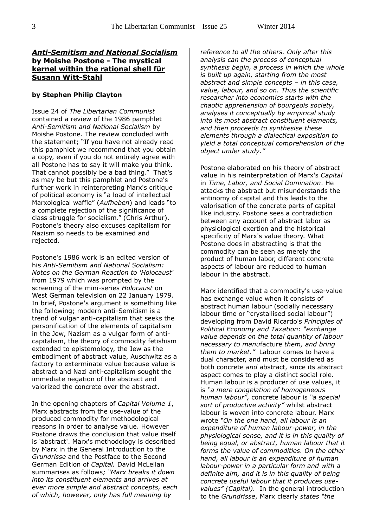#### *Anti-Semitism and National Socialism* **by Moishe Postone - The mystical kernel within the rational shell für Susann Witt-Stahl**

#### **by Stephen Philip Clayton**

Issue 24 of *The Libertarian Communist* contained a review of the 1986 pamphlet *Anti-Semitism and National Socialism* by Moishe Postone. The review concluded with the statement; "If you have not already read this pamphlet we recommend that you obtain a copy, even if you do not entirely agree with all Postone has to say it will make you think. That cannot possibly be a bad thing." That's as may be but this pamphlet and Postone's further work in reinterpreting Marx's critique of political economy is "a load of intellectual Marxological waffle" (*Aufheben*) and leads "to a complete rejection of the significance of class struggle for socialism." (Chris Arthur). Postone's theory also excuses capitalism for Nazism so needs to be examined and rejected.

Postone's 1986 work is an edited version of his *Anti-Semitism and National Socialism: Notes on the German Reaction to 'Holocaust'* from 1979 which was prompted by the screening of the mini-series *Holocaust* on West German television on 22 January 1979. In brief, Postone's argument is something like the following; modern anti-Semitism is a trend of vulgar anti-capitalism that seeks the personification of the elements of capitalism in the Jew, Nazism as a vulgar form of anticapitalism, the theory of commodity fetishism extended to epistemology, the Jew as the embodiment of abstract value, Auschwitz as a factory to exterminate value because value is abstract and Nazi anti-capitalism sought the immediate negation of the abstract and valorized the concrete over the abstract.

In the opening chapters of *Capital Volume 1*, Marx abstracts from the use-value of the produced commodity for methodological reasons in order to analyse value. However Postone draws the conclusion that value itself is 'abstract'. Marx's methodology is described by Marx in the General Introduction to the *Grundrisse* and the Postface to the Second German Edition of *Capital.* David McLellan summarises as follows*; "Marx breaks it down into its constituent elements and arrives at ever more simple and abstract concepts, each of which, however, only has full meaning by* 

*reference to all the others. Only after this analysis can the process of conceptual synthesis begin, a process in which the whole is built up again, starting from the most abstract and simple concepts – in this case, value, labour, and so on. Thus the scientific researcher into economics starts with the chaotic apprehension of bourgeois society, analyses it conceptually by empirical study into its most abstract constituent elements, and then proceeds to synthesise these elements through a dialectical exposition to yield a total conceptual comprehension of the object under study."* 

Postone elaborated on his theory of abstract value in his reinterpretation of Marx's *Capital* in *Time, Labor, and Social Domination*. He attacks the abstract but misunderstands the antinomy of capital and this leads to the valorisation of the concrete parts of capital like industry. Postone sees a contradiction between any account of abstract labor as physiological exertion and the historical specificity of Marx's value theory. What Postone does in abstracting is that the commodity can be seen as merely the product of human labor, different concrete aspects of labour are reduced to human labour in the abstract.

Marx identified that a commodity's use-value has exchange value when it consists of abstract human labour (socially necessary labour time or "crystallised social labour") developing from David Ricardo's *Principles of Political Economy and Taxation*: *"exchange value depends on the total quantity of labour necessary to manu*facture *them, and bring them to market."* Labour comes to have a dual character, and must be considered as both concrete *and* abstract, since its abstract aspect comes to play a distinct social role. Human labour is a producer of use values, it is *"a mere congelation of homogeneous human labour",* concrete labour is *"a special sort of productive activity"* whilst abstract labour is woven into concrete labour. Marx wrote *"On the one hand, all labour is an expenditure of human labour-power, in the physiological sense, and it is in this quality of being equal, or abstract, human labour that it forms the value of commodities. On the other hand, all labour is an expenditure of human labour-power in a particular form and with a definite aim, and it is in this quality of being concrete useful labour that it produces usevalues" (Capital).* In the general introduction to the *Grundrisse*, Marx clearly *states "the*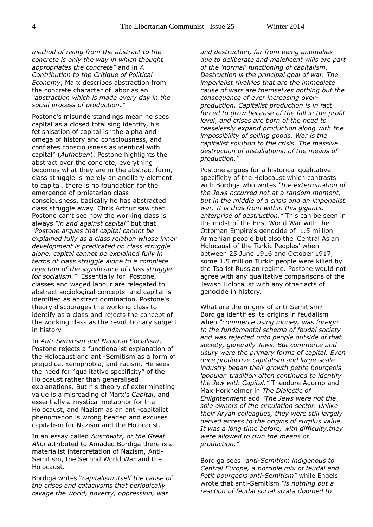*method of rising from the abstract to the concrete is only the way in which thought appropriates the concrete"* and in *A Contribution to the Critique of Political Economy*, Marx describes abstraction from the concrete character of labor as an *"abstraction which is made every day in the social process of production."*

Postone's misunderstandings mean he sees capital as a closed totalising identity, his fetishisation of capital is "the alpha and omega of history and consciousness, and conflates consciousness as identical with capital" (*Aufheben*). Postone highlights the abstract over the concrete, everything becomes what they are in the abstract form, class struggle is merely an ancillary element to capital, there is no foundation for the emergence of proletarian class consciousness, basically he has abstracted class struggle away. Chris Arthur saw that Postone can't see how the working class is always *"in and against capital"* but that *"Postone argues that capital cannot be explained fully as a class relation whose inner development is predicated on class struggle alone, capital cannot be explained fully in terms of class struggle alone to a complete rejection of the significance of class struggle for socialism."* Essentially for Postone, classes and waged labour are relegated to abstract sociological concepts and capital is identified as abstract domination. Postone's theory discourages the working class to identify as a class and rejects the concept of the working class as the revolutionary subject in history.

In *Anti-Semitism and National Socialism*, Postone rejects a functionalist explanation of the Holocaust and anti-Semitism as a form of prejudice, xenophobia, and racism. He sees the need for "qualitative specificity" of the Holocaust rather than generalised explanations. But his theory of exterminating value is a misreading of Marx's *Capital*, and essentially a mystical metaphor for the Holocaust, and Nazism as an anti-capitalist phenomenon is wrong headed and excuses capitalism for Nazism and the Holocaust.

In an essay called *Auschwitz, or the Great Alibi* attributed to Amadeo Bordiga there is a materialist interpretation of Nazism, Anti-Semitism, the Second World War and the Holocaust.

Bordiga writes "*capitalism itself the cause of the crises and cataclysms that periodically ravage the world, poverty, oppression, war* 

*and destruction, far from being anomalies due to deliberate and maleficent wills are part of the 'normal' functioning of capitalism. Destruction is the principal goal of war. The imperialist rivalries that are the immediate cause of wars are themselves nothing but the consequence of ever increasing overproduction. Capitalist production is in fact forced to grow because of the fall in the profit level, and crises are born of the need to ceaselessly expand production along with the impossibility of selling goods. War is the capitalist solution to the crisis. The massive destruction of installations, of the means of production."*

Postone argues for a historical qualitative specificity of the Holocaust which contrasts with Bordiga who writes *"the extermination of the Jews occurred not at a random moment, but in the middle of a crisis and an imperialist war. It is thus from within this gigantic enterprise of destruction."* This can be seen in the midst of the First World War with the Ottoman Empire's genocide of 1.5 million Armenian people but also the 'Central Asian Holocaust of the Turkic Peoples' when between 25 June 1916 and October 1917, some 1.5 million Turkic people were killed by the Tsarist Russian regime. Postone would not agree with any qualitative comparisons of the Jewish Holocaust with any other acts of genocide in history.

What are the origins of anti-Semitism? Bordiga identifies its origins in feudalism when *"commerce using money, was foreign to the fundamental schema of feudal society and was rejected onto people outside of that society, generally Jews. But commerce and usury were the primary forms of capital. Even once productive capitalism and large-scale industry began their growth petite bourgeois 'popular' tradition often continued to identify the Jew with Capital."* Theodore Adorno and Max Horkheimer in *The Dialectic of Enlightenment* add *"The Jews were not the sole owners of the circulation sector. Unlike their Aryan colleagues, they were still largely denied access to the origins of surplus value. It was a long time before, with difficulty,they were allowed to own the means of production."* 

Bordiga sees *"anti-Semitism indigenous to Central Europe, a horrible mix of feudal and Petit bourgeois anti-Semitism"* while Engels wrote that anti-Semitism *"is nothing but a reaction of feudal social strata doomed to*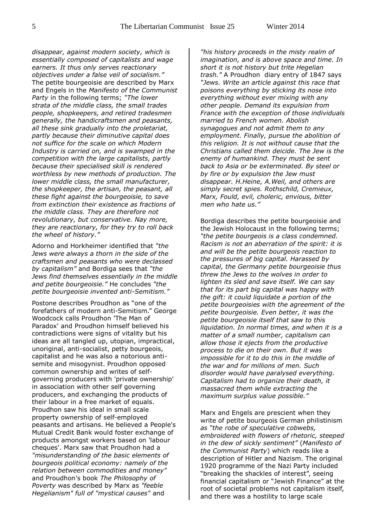*disappear, against modern society, which is essentially composed of capitalists and wage earners. It thus only serves reactionary objectives under a false veil of socialism."* The petite bourgeoisie are described by Marx and Engels in the *Manifesto of the Communist Party* in the following terms; *"The lower strata of the middle class, the small trades people, shopkeepers, and retired tradesmen generally, the handicraftsmen and peasants, all these sink gradually into the proletariat, partly because their diminutive capital does not suffice for the scale on which Modern Industry is carried on, and is swamped in the competition with the large capitalists, partly because their specialised skill is rendered worthless by new methods of production. The lower middle class, the small manufacturer, the shopkeeper, the artisan, the peasant, all these fight against the bourgeoisie, to save from extinction their existence as fractions of the middle class. They are therefore not revolutionary, but conservative. Nay more, they are reactionary, for they try to roll back the wheel of history."* 

Adorno and Horkheimer identified that *"the Jews were always a thorn in the side of the craftsmen and peasants who were declassed by capitalism"* and Bordiga sees that *"the Jews find themselves essentially in the middle and petite bourgeoisie."* He concludes *"the petite bourgeoisie invented anti-Semitism."*

Postone describes Proudhon as "one of the forefathers of modern anti-Semitism." George Woodcock calls Proudhon 'The Man of Paradox' and Proudhon himself believed his contradictions were signs of vitality but his ideas are all tangled up, utopian, impractical, unoriginal, anti-socialist, petty bourgeois, capitalist and he was also a notorious antisemite and misogynist. Proudhon opposed common ownership and writes of selfgoverning producers with 'private ownership' in association with other self governing producers, and exchanging the products of their labour in a free market of equals. Proudhon saw his ideal in small scale property ownership of self-employed peasants and artisans. He believed a People's Mutual Credit Bank would foster exchange of products amongst workers based on 'labour cheques'. Marx saw that Proudhon had a *"misunderstanding of the basic elements of bourgeois political economy: namely of the relation between commodities and money"* and Proudhon's book *The Philosophy of Poverty* was described by Marx as *"feeble Hegelianism" full of "mystical causes"* and

*"his history proceeds in the misty realm of imagination, and is above space and time. In short it is not history but trite Hegelian trash."* A Proudhon diary entry of 1847 says *"Jews. Write an article against this race that poisons everything by sticking its nose into everything without ever mixing with any other people. Demand its expulsion from France with the exception of those individuals married to French women. Abolish synagogues and not admit them to any employment. Finally, pursue the abolition of this religion. It is not without cause that the Christians called them deicide. The Jew is the enemy of humankind. They must be sent back to Asia or be exterminated. By steel or by fire or by expulsion the Jew must disappear. H.Heine, A.Weil, and others are simply secret spies. Rothschild, Cremieux, Marx, Fould, evil, choleric, envious, bitter men who hate us."*

Bordiga describes the petite bourgeoisie and the Jewish Holocaust in the following terms; *"the petite bourgeois is a class condemned. Racism is not an aberration of the spirit: it is and will be the petite bourgeois reaction to the pressures of big capital. Harassed by capital, the Germany petite bourgeoisie thus threw the Jews to the wolves in order to lighten its sled and save itself. We can say that for its part big capital was happy with the gift: it could liquidate a portion of the petite bourgeoisies with the agreement of the petite bourgeoisie. Even better, it was the petite bourgeoisie itself that saw to this liquidation. In normal times, and when it is a matter of a small number, capitalism can allow those it ejects from the productive process to die on their own. But it was impossible for it to do this in the middle of the war and for millions of men. Such disorder would have paralysed everything. Capitalism had to organize their death, it massacred them while extracting the maximum surplus value possible."*

Marx and Engels are prescient when they write of petite bourgeois German philistinism *as "the robe of speculative cobwebs, embroidered with flowers of rhetoric, steeped in the dew of sickly sentiment"* (*Manifesto of the Communist Party*) which reads like a description of Hitler and Nazism. The original 1920 programme of the Nazi Party included "breaking the shackles of interest", seeing financial capitalism or "Jewish Finance" at the root of societal problems not capitalism itself, and there was a hostility to large scale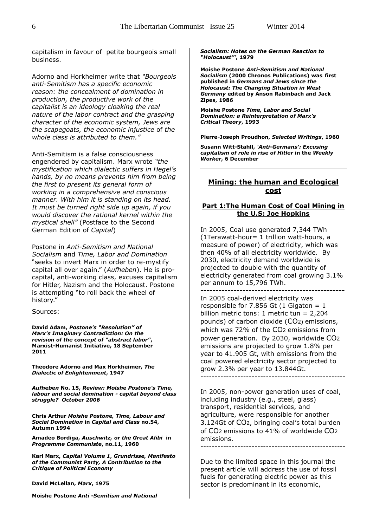capitalism in favour of petite bourgeois small business.

Adorno and Horkheimer write that *"Bourgeois anti-Semitism has a specific economic reason: the concealment of domination in production, the productive work of the capitalist is an ideology cloaking the real nature of the labor contract and the grasping character of the economic system, Jews are the scapegoats, the economic injustice* of *the whole class is attributed to them."* 

Anti-Semitism is a false consciousness engendered by capitalism. Marx wrote *"the mystification which dialectic suffers in Hegel's hands, by no means prevents him from being the first to present its general form of working in a comprehensive and conscious manner. With him it is standing on its head. It must be turned right side up again, if you would discover the rational kernel within the mystical shell"* (Postface to the Second German Edition of *Capital*)

Postone in *Anti-Semitism and National Socialism* and *Time, Labor and Domination*  "seeks to invert Marx in order to re-mystify capital all over again." (*Aufheben*). He is procapital, anti-working class, excuses capitalism for Hitler, Nazism and the Holocaust. Postone is attempting "to roll back the wheel of history."

Sources:

**David Adam,** *Postone's "Resolution" of Marx's Imaginary Contradiction: On the revision of the concept of "abstract labor"***, Marxist-Humanist Initiative, 18 September 2011**

**Theodore Adorno and Max Horkheimer,** *The Dialectic of Enlightenment***, 1947** 

*Aufheben* **No. 15,** *Review: Moishe Postone's Time, labour and social domination - capital beyond class struggle? October 2006*

**Chris Arthur** *Moishe Postone, Time, Labour and Social Domination* **in** *Capital and Class* **no.54, Autumn 1994**

**Amadeo Bordiga,** *Auschwitz, or the Great Alibi* **in**  *Programme Communiste***, no.11, 1960**

**Karl Marx,** *Capital Volume 1***,** *Grundrisse, Manifesto of the Communist Party, A Contribution to the Critique of Political Economy*

**David McLellan,** *Marx***, 1975**

**Moishe Postone** *Anti -Semitism and National* 

*Socialism: Notes on the German Reaction to "Holocaust"'***, 1979** 

**Moishe Postone** *Anti-Semitism and National Socialism* **(2000 Chronos Publications) was first published in** *Germans and Jews since the Holocaust: The Changing Situation in West Germany* **edited by Anson Rabinbach and Jack Zipes, 1986**

**Moishe Postone** *Time, Labor and Social Domination: a Reinterpretation of Marx's Critical Theory***, 1993** 

**Pierre-Joseph Proudhon,** *Selected Writings***, 1960**

**Susann Witt-Stahll,** *'Anti-Germans': Excusing capitalism of role in rise of Hitler* **in the** *Weekly Worker***, 6 December**

#### **Mining: the human and Ecological cost**

#### **Part 1:The Human Cost of Coal Mining in the U.S: Joe Hopkins**

In 2005, Coal use generated 7,344 TWh (1Terawatt-hour= 1 trillion watt-hours, a measure of power) of electricity, which was then 40% of all electricity worldwide. By 2030, electricity demand worldwide is projected to double with the quantity of electricity generated from coal growing 3.1% per annum to 15,796 TWh.

**------------------------------------------------** In 2005 coal-derived electricity was responsible for 7.856 Gt  $(1 \text{ Gi} \cdot \text{non} = 1)$ billion metric tons: 1 metric tun = 2,204 pounds) of carbon dioxide (CO2) emissions, which was 72% of the CO2 emissions from power generation. By 2030, worldwide CO2 emissions are projected to grow 1.8% per year to 41.905 Gt, with emissions from the coal powered electricity sector projected to grow 2.3% per year to 13.844Gt.

---------------------------------------------------

In 2005, non-power generation uses of coal, including industry (e.g., steel, glass) transport, residential services, and agriculture, were responsible for another 3.124Gt of CO2, bringing coal's total burden of CO2 emissions to 41% of worldwide CO2 emissions.

---------------------------------------------------

Due to the limited space in this journal the present article will address the use of fossil fuels for generating electric power as this sector is predominant in its economic,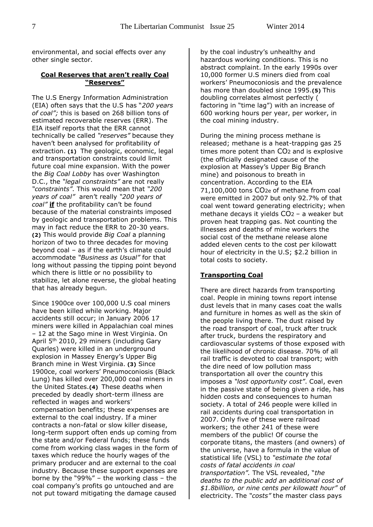environmental, and social effects over any other single sector.

#### **Coal Reserves that aren't really Coal "Reserves"**

The U.S Energy Information Administration (EIA) often says that the U.S has "*200 years of coal";* this is based on 268 billion tons of estimated recoverable reserves (ERR). The EIA itself reports that the ERR cannot technically be called *"reserves"* because they haven't been analysed for profitability of extraction. **(1)** The geologic, economic, legal and transportation constraints could limit future coal mine expansion. With the power the *Big Coal Lobby* has over Washington D.C., the *"legal constraints"* are not really *"constraints"*. This would mean that *"200 years of coal"* aren't really *"200 years of coal"* **if** the profitability can't be found because of the material constraints imposed by geologic and transportation problems. This may in fact reduce the ERR to 20-30 years. **(2)** This would provide *Big Coal* a planning horizon of two to three decades for moving beyond coal – as if the earth's climate could accommodate *"Business as Usual"* for that long without passing the tipping point beyond which there is little or no possibility to stabilize, let alone reverse, the global heating that has already begun.

Since 1900ce over 100,000 U.S coal miners have been killed while working. Major accidents still occur; in January 2006 17 miners were killed in Appalachian coal mines – 12 at the Sago mine in West Virginia. On April 5th 2010, 29 miners (including Gary Quarles) were killed in an underground explosion in Massey Energy's Upper Big Branch mine in West Virginia. **(3)** Since 1900ce, coal workers' Pneumoconiosis (Black Lung) has killed over 200,000 coal miners in the United States.**(4)** These deaths when preceded by deadly short-term illness are reflected in wages and workers' compensation benefits; these expenses are external to the coal industry. If a miner contracts a non-fatal or slow killer disease, long-term support often ends up coming from the state and/or Federal funds; these funds come from working class wages in the form of taxes which reduce the hourly wages of the primary producer and are external to the coal industry. Because these support expenses are borne by the "99%" – the working class – the coal company's profits go untouched and are not put toward mitigating the damage caused

by the coal industry's unhealthy and hazardous working conditions. This is no abstract complaint. In the early 1990s over 10,000 former U.S miners died from coal workers' Pneumoconiosis and the prevalence has more than doubled since 1995.**(5)** This doubling correlates almost perfectly ( factoring in "time lag") with an increase of 600 working hours per year, per worker, in the coal mining industry.

During the mining process methane is released; methane is a heat-trapping gas 25 times more potent than CO2 and is explosive (the officially designated cause of the explosion at Massey's Upper Big Branch mine) and poisonous to breath in concentration. According to the EIA 71,100,000 tons CO2e of methane from coal were emitted in 2007 but only 92.7% of that coal went toward generating electricity; when methane decays it yields CO2 – a weaker but proven heat trapping gas. Not counting the illnesses and deaths of mine workers the social cost of the methane release alone added eleven cents to the cost per kilowatt hour of electricity in the U.S; \$2.2 billion in total costs to society.

#### **Transporting Coal**

There are direct hazards from transporting coal. People in mining towns report intense dust levels that in many cases coat the walls and furniture in homes as well as the skin of the people living there. The dust raised by the road transport of coal, truck after truck after truck, burdens the respiratory and cardiovascular systems of those exposed with the likelihood of chronic disease. 70% of all rail traffic is devoted to coal transport; with the dire need of low pollution mass transportation all over the country this imposes a *"lost opportunity cost"*. Coal, even in the passive state of being given a ride, has hidden costs and consequences to human society. A total of 246 people were killed in rail accidents during coal transportation in 2007. Only five of these were railroad workers; the other 241 of these were members of the public! Of course the corporate titans, the masters (and owners) of the universe, have a formula in the value of statistical life (VSL) to *"estimate the total costs of fatal accidents in coal transportation".* The VSL revealed, "*the deaths to the public add an additional cost of \$1.8billion, or nine cents per kilowatt hour"* of electricity. The *"costs"* the master class pays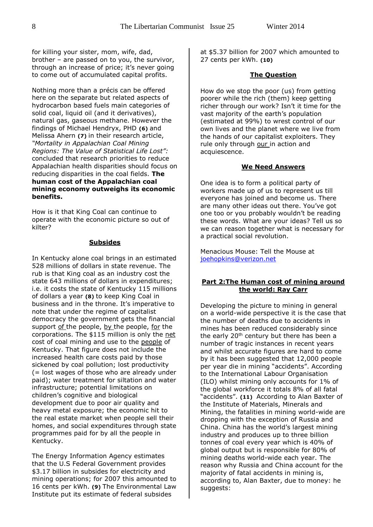for killing your sister, mom, wife, dad, brother – are passed on to you, the survivor, through an increase of price; it's never going to come out of accumulated capital profits.

Nothing more than a précis can be offered here on the separate but related aspects of hydrocarbon based fuels main categories of solid coal, liquid oil (and it derivatives), natural gas, gaseous methane. However the findings of Michael Hendryx, PHD **(6)** and Melissa Ahern **(7)** in their research article, *"Mortality in Appalachian Coal Mining Regions: The Value of Statistical Life Lost":* concluded that research priorities to reduce Appalachian health disparities should focus on reducing disparities in the coal fields. **The human cost of the Appalachian coal mining economy outweighs its economic benefits.**

How is it that King Coal can continue to operate with the economic picture so out of kilter?

#### **Subsides**

In Kentucky alone coal brings in an estimated 528 millions of dollars in state revenue. The rub is that King coal as an industry cost the state 643 millions of dollars in expenditures; i.e. it costs the state of Kentucky 115 millions of dollars a year **(8)** to keep King Coal in business and in the throne. It's imperative to note that under the regime of capitalist democracy the government gets the financial support of the people, by the people, for the corporations. The \$115 million is only the net cost of coal mining and use to the people of Kentucky. That figure does not include the increased health care costs paid by those sickened by coal pollution; lost productivity (= lost wages of those who are already under paid); water treatment for siltation and water infrastructure; potential limitations on children's cognitive and biological development due to poor air quality and heavy metal exposure; the economic hit to the real estate market when people sell their homes, and social expenditures through state programmes paid for by all the people in Kentucky.

The Energy Information Agency estimates that the U.S Federal Government provides \$3.17 billion in subsides for electricity and mining operations; for 2007 this amounted to 16 cents per kWh. **(9)** The Environmental Law Institute put its estimate of federal subsides

at \$5.37 billion for 2007 which amounted to 27 cents per kWh. **(10)**

#### **The Question**

How do we stop the poor (us) from getting poorer while the rich (them) keep getting richer through our work? Isn't it time for the vast majority of the earth's population (estimated at 99%) to wrest control of our own lives and the planet where we live from the hands of our capitalist exploiters. They rule only through our in action and acquiescence.

#### **We Need Answers**

One idea is to form a political party of workers made up of us to represent us till everyone has joined and become us. There are many other ideas out there. You've got one too or you probably wouldn't be reading these words. What are your ideas? Tell us so we can reason together what is necessary for a practical social revolution.

Menacious Mouse: Tell the Mouse at [joehopkins@verizon.net](mailto:joehopkins@verizon.net)

#### **Part 2:The Human cost of mining around the world: Ray Carr**

Developing the picture to mining in general on a world-wide perspective it is the case that the number of deaths due to accidents in mines has been reduced considerably since the early  $20<sup>th</sup>$  century but there has been a number of tragic instances in recent years and whilst accurate figures are hard to come by it has been suggested that 12,000 people per year die in mining "accidents". According to the International Labour Organisation (ILO) whilst mining only accounts for 1% of the global workforce it totals 8% of all fatal "accidents". **(11)** According to Alan Baxter of the Institute of Materials, Minerals and Mining, the fatalities in mining world-wide are dropping with the exception of Russia and China. China has the world's largest mining industry and produces up to three billion tonnes of coal every year which is 40% of global output but is responsible for 80% of mining deaths world-wide each year. The reason why Russia and China account for the majority of fatal accidents in mining is, according to, Alan Baxter, due to money: he suggests: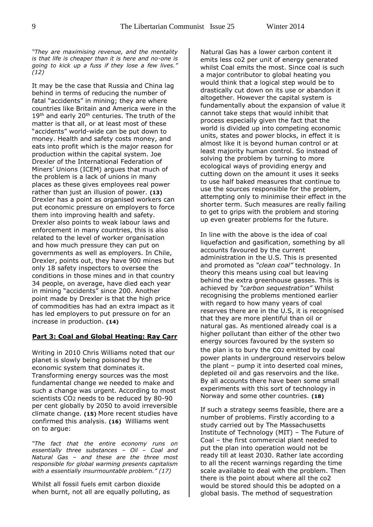*"They are maximising revenue, and the mentality is that life is cheaper than it is here and no-one is going to kick up a fuss if they lose a few lives." (12)*

It may be the case that Russia and China lag behind in terms of reducing the number of fatal "accidents" in mining; they are where countries like Britain and America were in the  $19<sup>th</sup>$  and early 20<sup>th</sup> centuries. The truth of the matter is that all, or at least most of these "accidents" world-wide can be put down to money. Health and safety costs money, and eats into profit which is the major reason for production within the capital system. Joe Drexler of the International Federation of Miners' Unions (ICEM) argues that much of the problem is a lack of unions in many places as these gives employees real power rather than just an illusion of power. **(13)**  Drexler has a point as organised workers can put economic pressure on employers to force them into improving health and safety. Drexler also points to weak labour laws and enforcement in many countries, this is also related to the level of worker organisation and how much pressure they can put on governments as well as employers. In Chile, Drexler, points out, they have 900 mines but only 18 safety inspectors to oversee the conditions in those mines and in that country 34 people, on average, have died each year in mining "accidents" since 200. Another point made by Drexler is that the high price of commodities has had an extra impact as it has led employers to put pressure on for an increase in production. **(14)**

#### **Part 3: Coal and Global Heating: Ray Carr**

Writing in 2010 Chris Williams noted that our planet is slowly being poisoned by the economic system that dominates it. Transforming energy sources was the most fundamental change we needed to make and such a change was urgent. According to most scientists CO2 needs to be reduced by 80-90 per cent globally by 2050 to avoid irreversible climate change. **(15)** More recent studies have confirmed this analysis. **(16)** Williams went on to argue:

*"The fact that the entire economy runs on essentially three substances – Oil – Coal and Natural Gas – and these are the three most responsible for global warming presents capitalism with a essentially insurmountable problem." (17)*

Whilst all fossil fuels emit carbon dioxide when burnt, not all are equally polluting, as Natural Gas has a lower carbon content it emits less co2 per unit of energy generated whilst Coal emits the most. Since coal is such a major contributor to global heating you would think that a logical step would be to drastically cut down on its use or abandon it altogether. However the capital system is fundamentally about the expansion of value it cannot take steps that would inhibit that process especially given the fact that the world is divided up into competing economic units, states and power blocks, in effect it is almost like it is beyond human control or at least majority human control. So instead of solving the problem by turning to more ecological ways of providing energy and cutting down on the amount it uses it seeks to use half baked measures that continue to use the sources responsible for the problem, attempting only to minimise their effect in the shorter term. Such measures are really failing to get to grips with the problem and storing up even greater problems for the future.

In line with the above is the idea of coal liquefaction and gasification, something by all accounts favoured by the current administration in the U.S. This is presented and promoted as *"clean coal"* technology. In theory this means using coal but leaving behind the extra greenhouse gasses. This is achieved by *"carbon sequestration"* Whilst recognising the problems mentioned earlier with regard to how many years of coal reserves there are in the U.S, it is recognised that they are more plentiful than oil or natural gas. As mentioned already coal is a higher pollutant than either of the other two energy sources favoured by the system so the plan is to bury the co2 emitted by coal power plants in underground reservoirs below the plant – pump it into deserted coal mines, depleted oil and gas reservoirs and the like. By all accounts there have been some small experiments with this sort of technology in Norway and some other countries. **(18)**

If such a strategy seems feasible, there are a number of problems. Firstly according to a study carried out by The Massachusetts Institute of Technology (MIT) – The Future of Coal – the first commercial plant needed to put the plan into operation would not be ready till at least 2030. Rather late according to all the recent warnings regarding the time scale available to deal with the problem. Then there is the point about where all the co2 would be stored should this be adopted on a global basis. The method of sequestration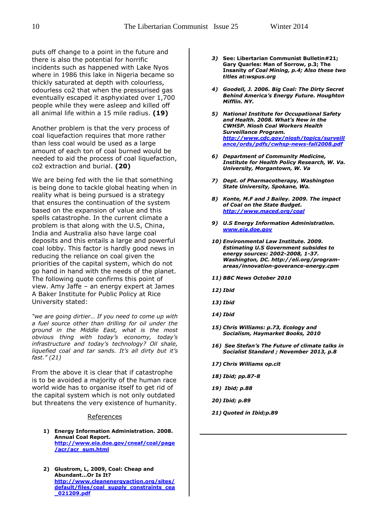puts off change to a point in the future and there is also the potential for horrific incidents such as happened with Lake Nyos where in 1986 this lake in Nigeria became so thickly saturated at depth with colourless, odourless co2 that when the pressurised gas eventually escaped it asphyxiated over 1,700 people while they were asleep and killed off all animal life within a 15 mile radius. **(19)**

Another problem is that the very process of coal liquefaction requires that more rather than less coal would be used as a large amount of each ton of coal burned would be needed to aid the process of coal liquefaction, co2 extraction and burial. **(20)**

We are being fed with the lie that something is being done to tackle global heating when in reality what is being pursued is a strategy that ensures the continuation of the system based on the expansion of value and this spells catastrophe. In the current climate a problem is that along with the U.S, China, India and Australia also have large coal deposits and this entails a large and powerful coal lobby. This factor is hardly good news in reducing the reliance on coal given the priorities of the capital system, which do not go hand in hand with the needs of the planet. The following quote confirms this point of view. Amy Jaffe – an energy expert at James A Baker Institute for Public Policy at Rice University stated:

*"we are going dirtier… If you need to come up with a fuel source other than drilling for oil under the ground in the Middle East, what is the most obvious thing with today's economy, today's infrastructure and today's technology? Oil shale, liquefied coal and tar sands. It's all dirty but it's fast." (21)* 

From the above it is clear that if catastrophe is to be avoided a majority of the human race world wide has to organise itself to get rid of the capital system which is not only outdated but threatens the very existence of humanity.

#### References

- **1) Energy Information Administration. 2008. Annual Coal Report. [http://www.eia.doe.gov/cneaf/coal/page](http://www.eia.doe.gov/cneaf/coal/page/acr/acr_sum.html) [/acr/acr\\_sum.html](http://www.eia.doe.gov/cneaf/coal/page/acr/acr_sum.html)**
- **2) Glustrom, L, 2009, Coal: Cheap and Abundant…Or Is It? [http://www.cleanenergyaction.org/sites/](http://www.cleanenergyaction.org/sites/default/files/coal_supply_constraints_cea_021209.pdf) [default/files/coal\\_supply\\_constraints\\_cea](http://www.cleanenergyaction.org/sites/default/files/coal_supply_constraints_cea_021209.pdf) [\\_021209.pdf](http://www.cleanenergyaction.org/sites/default/files/coal_supply_constraints_cea_021209.pdf)**
- *3)* **See: Libertarian Communist Bulletin#21; Gary Quarles: Man of Sorrow, p.3; The Insanity** *of Coal Mining, p.4; Also these two titles at:wspus.org*
- *4) Goodell, J. 2006. Big Coal: The Dirty Secret Behind America's Energy Future. Houghton Mifflin. NY.*
- *5) National Institute for Occupational Safety and Health. 2008. What's New in the CWH5P. Niosh Coal Workers Health Surveillance Program. [http://www.cdc.gov/niosh/topics/surveill](http://www.cdc.gov/niosh/topics/surveillance/ords/pdfs/cwhsp-news-fall2008.pdf) [ance/ords/pdfs/cwhsp-news-fall2008.pdf](http://www.cdc.gov/niosh/topics/surveillance/ords/pdfs/cwhsp-news-fall2008.pdf)*
- *6) Department of Community Medicine, Institute for Health Policy Research, W. Va. University, Morgantown, W. Va*
- *7) Dept. of Pharmacotherapy, Washington State University, Spokane, Wa.*
- *8) Konte, M.F and J Bailey. 2009. The impact of Coal on the State Budget. <http://www.maced.org/coal>*
- *9) U.S Energy Information Administration. [www.eia.doe.gov](http://www.eia.doe.gov/)*
- *10) Environmental Law Institute. 2009. Estimating U.S Government subsides to energy sources: 2002-2008, 1-37. Washington, DC. http://eli.org/programareas/innovation-goverance-energy.cpm*
- *11) BBC News October 2010*
- *12) Ibid*
- *13) Ibid*
- *14) Ibid*
- *15) Chris Williams: p.73, Ecology and Socialism, Haymarket Books, 2010*
- *16) See Stefan's The Future of climate talks in Socialist Standard ; November 2013, p.8*
- *17) Chris Williams op.cit*
- *18) Ibid; pp.87-8*
- *19) Ibid; p.88*
- *20) Ibid; p.89*
- *21) Quoted in Ibid;p.89*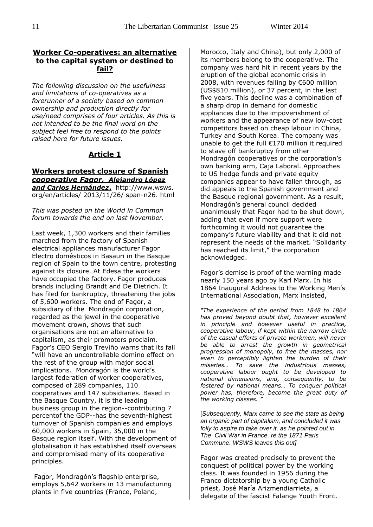#### **Worker Co-operatives: an alternative to the capital system or destined to fail?**

*The following discussion on the usefulness and limitations of co-operatives as a forerunner of a society based on common ownership and production directly for use/need comprises of four articles. As this is not intended to be the final word on the subject feel free to respond to the points raised here for future issues.* 

#### **Article 1**

#### **Workers protest closure of Spanish**  *cooperative Fagor, Alejandro López and Carlos Hernández***.** http://www.wsws. org/en/articles/ 2013/11/26/ span-n26. html

*This was posted on the World in Common forum towards the end on last November.* 

Last week, 1,300 workers and their families marched from the factory of Spanish electrical appliances manufacturer Fagor Electro domésticos in Basauri in the Basque region of Spain to the town centre, protesting against its closure. At Edesa the workers have occupied the factory. Fagor produces brands including Brandt and De Dietrich. It has filed for bankruptcy, threatening the jobs of 5,600 workers. The end of Fagor, a subsidiary of the Mondragón corporation, regarded as the jewel in the cooperative movement crown, shows that such organisations are not an alternative to capitalism, as their promoters proclaim. Fagor's CEO Sergio Treviño warns that its fall "will have an uncontrollable domino effect on the rest of the group with major social implications. Mondragón is the world's largest federation of worker cooperatives, composed of 289 companies, 110 cooperatives and 147 subsidiaries. Based in the Basque Country, it is the leading business group in the region--contributing 7 percentof the GDP--has the seventh-highest turnover of Spanish companies and employs 60,000 workers in Spain, 35,000 in the Basque region itself. With the development of globalisation it has established itself overseas and compromised many of its cooperative principles.

Fagor, Mondragón's flagship enterprise, employs 5,642 workers in 13 manufacturing plants in five countries (France, Poland,

Morocco, Italy and China), but only 2,000 of its members belong to the cooperative. The company was hard hit in recent years by the eruption of the global economic crisis in 2008, with revenues falling by €600 million (US\$810 million), or 37 percent, in the last five years. This decline was a combination of a sharp drop in demand for domestic appliances due to the impoverishment of workers and the appearance of new low-cost competitors based on cheap labour in China, Turkey and South Korea. The company was unable to get the full €170 million it required to stave off bankruptcy from other Mondragón cooperatives or the corporation's own banking arm, Caja Laboral. Approaches to US hedge funds and private equity companies appear to have fallen through, as did appeals to the Spanish government and the Basque regional government. As a result, Mondragón's general council decided unanimously that Fagor had to be shut down, adding that even if more support were forthcoming it would not guarantee the company's future viability and that it did not represent the needs of the market. "Solidarity has reached its limit," the corporation acknowledged.

Fagor's demise is proof of the warning made nearly 150 years ago by Karl Marx. In his 1864 Inaugural Address to the Working Men's International Association, Marx insisted,

*"The experience of the period from 1848 to 1864 has proved beyond doubt that, however excellent in principle and however useful in practice, cooperative labour, if kept within the narrow circle of the casual efforts of private workmen, will never be able to arrest the growth in geometrical progression of monopoly, to free the masses, nor even to perceptibly lighten the burden of their miseries… To save the industrious masses, cooperative labour ought to be developed to national dimensions, and, consequently, to be fostered by national means… To conquer political power has, therefore, become the great duty of the working classes. "*

[*Subsequently, Marx came to see the state as being an organic part of capitalism, and concluded it was folly to aspire to take over it, as he pointed out in The Civil War in France, re the 1871 Paris Commune. WSWS leaves this out]*

Fagor was created precisely to prevent the conquest of political power by the working class. It was founded in 1956 during the Franco dictatorship by a young Catholic priest, José María Arizmendiarrieta, a delegate of the fascist Falange Youth Front.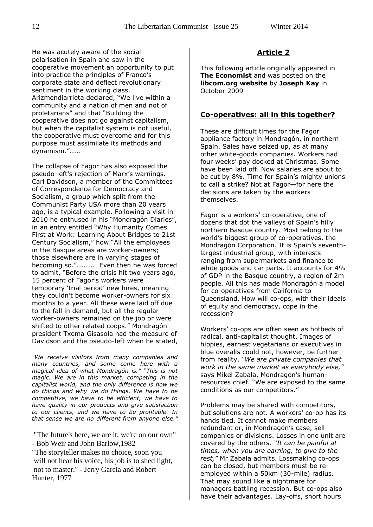He was acutely aware of the social polarisation in Spain and saw in the cooperative movement an opportunity to put into practice the principles of Franco's corporate state and deflect revolutionary sentiment in the working class. Arizmendiarrieta declared, "We live within a community and a nation of men and not of proletarians" and that "Building the cooperative does not go against capitalism, but when the capitalist system is not useful, the cooperative must overcome and for this purpose must assimilate its methods and dynamism.".....

The collapse of Fagor has also exposed the pseudo-left's rejection of Marx's warnings. Carl Davidson, a member of the Committees of Correspondence for Democracy and Socialism, a group which split from the Communist Party USA more than 20 years ago, is a typical example. Following a visit in 2010 he enthused in his "Mondragón Diaries", in an entry entitled "Why Humanity Comes First at Work: Learning About Bridges to 21st Century Socialism," how "All the employees in the Basque areas are worker-owners; those elsewhere are in varying stages of becoming so."........ Even then he was forced to admit, "Before the crisis hit two years ago, 15 percent of Fagor's workers were temporary 'trial period' new hires, meaning they couldn't become worker-owners for six months to a year. All these were laid off due to the fall in demand, but all the regular worker-owners remained on the job or were shifted to other related coops." Mondragón president Txema Gisasola had the measure of Davidson and the pseudo-left when he stated,

*"We receive visitors from many companies and many countries, and some come here with a magical idea of what Mondragón is." "This is not magic. We are in this market, competing in the capitalist world, and the only difference is how we do things and why we do things. We have to be competitive, we have to be efficient, we have to have quality in our products and give satisfaction to our clients, and we have to be profitable. In that sense we are no different from anyone else."*

"The future's here, we are it, we're on our own" - Bob Weir and John Barlow,1982

"The storyteller makes no choice, soon you will not hear his voice, his job is to shed light, not to master." - Jerry Garcia and Robert Hunter, 1977

#### **Article 2**

This following article originally appeared in **The Economist** and was posted on the **libcom.org website** by **Joseph Kay** in October 2009

#### **Co-operatives: all in this together?**

These are difficult times for the Fagor appliance factory in Mondragón, in northern Spain. Sales have seized up, as at many other white-goods companies. Workers had four weeks' pay docked at Christmas. Some have been laid off. Now salaries are about to be cut by 8%. Time for Spain's mighty unions to call a strike? Not at Fagor—for here the decisions are taken by the workers themselves.

Fagor is a workers' co-operative, one of dozens that dot the valleys of Spain's hilly northern Basque country. Most belong to the world's biggest group of co-operatives, the Mondragón Corporation. It is Spain's seventhlargest industrial group, with interests ranging from supermarkets and finance to white goods and car parts. It accounts for 4% of GDP in the Basque country, a region of 2m people. All this has made Mondragón a model for co-operatives from California to Queensland. How will co-ops, with their ideals of equity and democracy, cope in the recession?

Workers' co-ops are often seen as hotbeds of radical, anti-capitalist thought. Images of hippies, earnest vegetarians or executives in blue overalls could not, however, be further from reality. *"We are private companies that work in the same market as everybody else,"* says Mikel Zabala, Mondragón's humanresources chief. "We are exposed to the same conditions as our competitors."

Problems may be shared with competitors, but solutions are not. A workers' co-op has its hands tied. It cannot make members redundant or, in Mondragón's case, sell companies or divisions. Losses in one unit are covered by the others*. "It can be painful at times, when you are earning, to give to the rest,"* Mr Zabala admits. Lossmaking co-ops can be closed, but members must be reemployed within a 50km (30-mile) radius. That may sound like a nightmare for managers battling recession. But co-ops also have their advantages. Lay-offs, short hours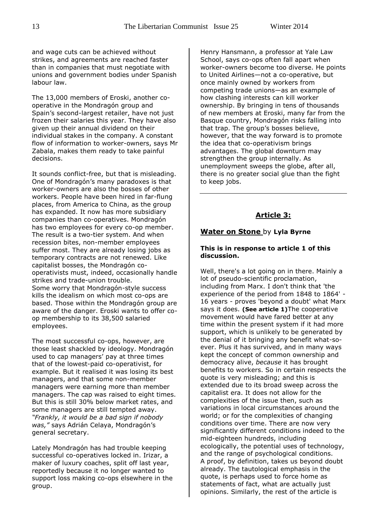and wage cuts can be achieved without strikes, and agreements are reached faster than in companies that must negotiate with unions and government bodies under Spanish labour law.

The 13,000 members of Eroski, another cooperative in the Mondragón group and Spain's second-largest retailer, have not just frozen their salaries this year. They have also given up their annual dividend on their individual stakes in the company. A constant flow of information to worker-owners, says Mr Zabala, makes them ready to take painful decisions.

It sounds conflict-free, but that is misleading. One of Mondragón's many paradoxes is that worker-owners are also the bosses of other workers. People have been hired in far-flung places, from America to China, as the group has expanded. It now has more subsidiary companies than co-operatives. Mondragón has two employees for every co-op member. The result is a two-tier system. And when recession bites, non-member employees suffer most. They are already losing jobs as temporary contracts are not renewed. Like capitalist bosses, the Mondragón cooperativists must, indeed, occasionally handle strikes and trade-union trouble. Some worry that Mondragón-style success kills the idealism on which most co-ops are based. Those within the Mondragón group are aware of the danger. Eroski wants to offer coop membership to its 38,500 salaried employees.

The most successful co-ops, however, are those least shackled by ideology. Mondragón used to cap managers' pay at three times that of the lowest-paid co-operativist, for example. But it realised it was losing its best managers, and that some non-member managers were earning more than member managers. The cap was raised to eight times. But this is still 30% below market rates, and some managers are still tempted away. *"Frankly, it would be a bad sign if nobody was,"* says Adrián Celaya, Mondragón's general secretary.

Lately Mondragón has had trouble keeping successful co-operatives locked in. Irizar, a maker of luxury coaches, split off last year, reportedly because it no longer wanted to support loss making co-ops elsewhere in the group.

Henry Hansmann, a professor at Yale Law School, says co-ops often fall apart when worker-owners become too diverse. He points to United Airlines—not a co-operative, but once mainly owned by workers from competing trade unions—as an example of how clashing interests can kill worker ownership. By bringing in tens of thousands of new members at Eroski, many far from the Basque country, Mondragón risks falling into that trap. The group's bosses believe, however, that the way forward is to promote the idea that co-operativism brings advantages. The global downturn may strengthen the group internally. As unemployment sweeps the globe, after all, there is no greater social glue than the fight to keep jobs.

#### **Article 3:**

#### **Water on Stone** by **Lyla Byrne**

#### **This is in response to article 1 of this discussion.**

Well, there's a lot going on in there. Mainly a lot of pseudo-scientific proclamation, including from Marx. I don't think that 'the experience of the period from 1848 to 1864' - 16 years - proves 'beyond a doubt' what Marx says it does. **(See article 1)**The cooperative movement would have fared better at any time within the present system if it had more support, which is unlikely to be generated by the denial of it bringing any benefit what-soever. Plus it has survived, and in many ways kept the concept of common ownership and democracy alive, *because* it has brought benefits to workers. So in certain respects the quote is very misleading; and this is extended due to its broad sweep across the capitalist era. It does not allow for the complexities of the issue then, such as variations in local circumstances around the world; or for the complexities of changing conditions over time. There are now very significantly different conditions indeed to the mid-eighteen hundreds, including ecologically, the potential uses of technology, and the range of psychological conditions. A proof, by definition, takes us beyond doubt already. The tautological emphasis in the quote, is perhaps used to force home as statements of fact, what are actually just opinions. Similarly, the rest of the article is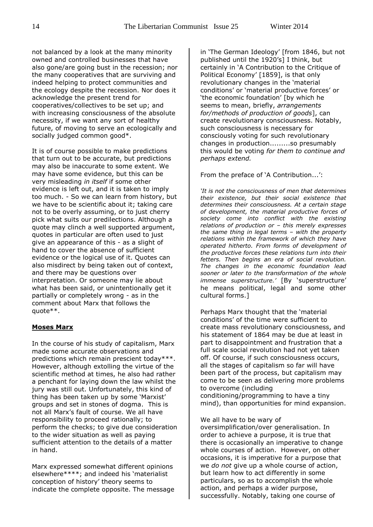not balanced by a look at the many minority owned and controlled businesses that have also gone/are going bust in the recession; nor the many cooperatives that are surviving and indeed helping to protect communities and the ecology despite the recession. Nor does it acknowledge the present trend for cooperatives/collectives to be set up; and with increasing consciousness of the absolute necessity, if we want any sort of healthy future, of moving to serve an ecologically and socially judged common good\*.

It is of course possible to make predictions that turn out to be accurate, but predictions may also be inaccurate to some extent. We may have some evidence, but this can be very misleading *in itself* if some other evidence is left out, and it is taken to imply too much. - So we can learn from history, but we have to be scientific about it; taking care not to be overly assuming, or to just cherry pick what suits our predilections. Although a quote may clinch a well supported argument, quotes in particular are often used to just give an appearance of this - as a slight of hand to cover the absence of sufficient evidence or the logical use of it. Quotes can also misdirect by being taken out of context, and there may be questions over interpretation. Or someone may lie about what has been said, or unintentionally get it partially or completely wrong - as in the comment about Marx that follows the quote\*\*.

#### **Moses Marx**

In the course of his study of capitalism, Marx made some accurate observations and predictions which remain prescient today\*\*\*. However, although extolling the virtue of the scientific method at times, he also had rather a penchant for laying down the law whilst the jury was still out. Unfortunately, this kind of thing has been taken up by some 'Marxist' groups and set in stones of dogma. This is not all Marx's fault of course. We all have responsibility to proceed rationally; to perform the checks; to give due consideration to the wider situation as well as paying sufficient attention to the details of a matter in hand.

Marx expressed somewhat different opinions elsewhere\*\*\*\*; and indeed his 'materialist conception of history' theory seems to indicate the complete opposite. The message in 'The German Ideology' [from 1846, but not published until the 1920's] I think, but certainly in 'A Contribution to the Critique of Political Economy' [1859], is that only revolutionary changes in the 'material conditions' or 'material productive forces' or 'the economic foundation' [by which he seems to mean, briefly, *arrangements for/methods of production of goods*], can create revolutionary consciousness. Notably, such consciousness is necessary for consciously voting for such revolutionary changes in production.........so presumably this would be voting *for them to continue and perhaps extend.*

From the preface of 'A Contribution...':

*'It is not the consciousness of men that determines their existence, but their social existence that determines their consciousness. At a certain stage of development, the material productive forces of society come into conflict with the existing relations of production or – this merely expresses the same thing in legal terms – with the property relations within the framework of which they have operated hitherto. From forms of development of the productive forces these relations turn into their fetters. Then begins an era of social revolution. The changes in the economic foundation lead sooner or later to the transformation of the whole immense superstructure.'* [By 'superstructure' he means political, legal and some other cultural forms.]

Perhaps Marx thought that the 'material conditions' of the time were sufficient to create mass revolutionary consciousness, and his statement of 1864 may be due at least in part to disappointment and frustration that a full scale social revolution had not yet taken off. Of course, if such consciousness occurs, all the stages of capitalism so far will have been part of the process, but capitalism may come to be seen as delivering more problems to overcome (including conditioning/programming to have a tiny mind), than opportunities for mind expansion.

We all have to be wary of

oversimplification/over generalisation. In order to achieve a purpose, it is true that there is occasionally an imperative to change whole courses of action. However, on other occasions, it is imperative for a purpose that we *do not* give up a whole course of action, but learn how to act differently in some particulars, so as to accomplish the whole action, and perhaps a wider purpose, successfully. Notably, taking one course of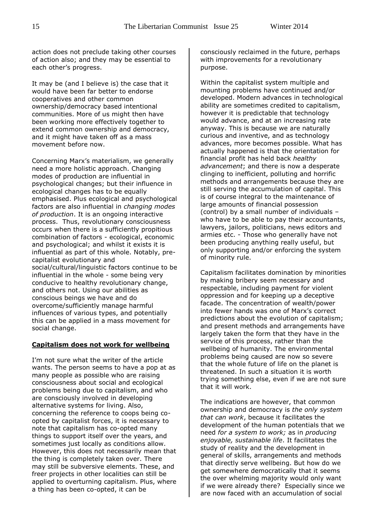action does not preclude taking other courses of action also; and they may be essential to each other's progress.

It may be (and I believe is) the case that it would have been far better to endorse cooperatives and other common ownership/democracy based intentional communities. More of us might then have been working more effectively together to extend common ownership and democracy, and it might have taken off as a mass movement before now.

Concerning Marx's materialism, we generally need a more holistic approach. Changing modes of production are influential in psychological changes; but their influence in ecological changes has to be equally emphasised. Plus ecological and psychological factors are also influential in *changing modes of production*. It is an ongoing interactive process. Thus, revolutionary consciousness occurs when there is a sufficiently propitious combination of factors - ecological, economic and psychological; and whilst it exists it is influential as part of this whole. Notably, precapitalist evolutionary and social/cultural/linguistic factors continue to be influential in the whole - some being very conducive to healthy revolutionary change, and others not. Using our abilities as conscious beings we have and do overcome/sufficiently manage harmful influences of various types, and potentially this can be applied in a mass movement for social change.

#### **Capitalism does not work for wellbeing**

I'm not sure what the writer of the article wants. The person seems to have a pop at as many people as possible who are raising consciousness about social and ecological problems being due to capitalism, and who are consciously involved in developing alternative systems for living. Also, concerning the reference to coops being coopted by capitalist forces, it is necessary to note that capitalism has co-opted many things to support itself over the years, and sometimes just locally as conditions allow. However, this does not necessarily mean that the thing is completely taken over. There may still be subversive elements. These, and freer projects in other localities can still be applied to overturning capitalism. Plus, where a thing has been co-opted, it can be

consciously reclaimed in the future, perhaps with improvements for a revolutionary purpose.

Within the capitalist system multiple and mounting problems have continued and/or developed. Modern advances in technological ability are sometimes credited to capitalism, however it is predictable that technology would advance, and at an increasing rate anyway. This is because we are naturally curious and inventive, and as technology advances, more becomes possible. What has actually happened is that the orientation for financial profit has held back *healthy advancement*; and there is now a desperate clinging to inefficient, polluting and horrific methods and arrangements because they are still serving the accumulation of capital. This is of course integral to the maintenance of large amounts of financial possession (control) by a small number of individuals – who have to be able to pay their accountants, lawyers, jailors, politicians, news editors and armies etc. - Those who generally have not been producing anything really useful, but only supporting and/or enforcing the system of minority rule.

Capitalism facilitates domination by minorities by making bribery seem necessary and respectable, including payment for violent oppression and for keeping up a deceptive facade. The concentration of wealth/power into fewer hands was one of Marx's correct predictions about the evolution of capitalism; and present methods and arrangements have largely taken the form that they have in the service of this process, rather than the wellbeing of humanity. The environmental problems being caused are now so severe that the whole future of life on the planet is threatened. In such a situation it is worth trying something else, even if we are not sure that it will work.

The indications are however, that common ownership and democracy is *the only system that can work*, because it facilitates the development of the human potentials that we need *for a system to work;* as in *producing enjoyable, sustainable life*. It facilitates the study of reality and the development in general of skills, arrangements and methods that directly serve wellbeing. But how do we get somewhere democratically that it seems the over whelming majority would only want if we were already there? Especially since we are now faced with an accumulation of social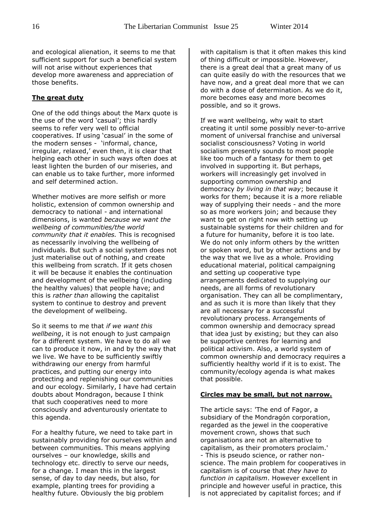and ecological alienation, it seems to me that sufficient support for such a beneficial system will not arise without experiences that develop more awareness and appreciation of those benefits.

#### **The great duty**

One of the odd things about the Marx quote is the use of the word 'casual'; this hardly seems to refer very well to official cooperatives. If using 'casual' in the some of the modern senses - 'informal, chance, irregular, relaxed,' even then, it is clear that helping each other in such ways often does at least lighten the burden of our miseries, and can enable us to take further, more informed and self determined action.

Whether motives are more selfish or more holistic, extension of common ownership and democracy to national - and international dimensions, is wanted *because we want the wellbeing of communities/the world community that it enables.* This is recognised as necessarily involving the wellbeing of individuals. But such a social system does not just materialise out of nothing, and create this wellbeing from scratch. If it gets chosen it will be because it enables the continuation and development of the wellbeing (including the healthy values) that people have; and this is *rather than* allowing the capitalist system to continue to destroy and prevent the development of wellbeing.

So it seems to me that *if we want this wellbeing*, it is not enough to just campaign for a different system. We have to do all we can to produce it now, in and by the way that we live. We have to be sufficiently swiftly withdrawing our energy from harmful practices, and putting our energy into protecting and replenishing our communities and our ecology. Similarly, I have had certain doubts about Mondragon, because I think that such cooperatives need to more consciously and adventurously orientate to this agenda.

For a healthy future, we need to take part in sustainably providing for ourselves within and between communities. This means applying ourselves – our knowledge, skills and technology etc. directly to serve our needs, for a change. I mean this in the largest sense, of day to day needs, but also, for example, planting trees for providing a healthy future. Obviously the big problem

with capitalism is that it often makes this kind of thing difficult or impossible. However, there is a great deal that a great many of us can quite easily do with the resources that we have now, and a great deal more that we can do with a dose of determination. As we do it, more becomes easy and more becomes possible, and so it grows.

If we want wellbeing, why wait to start creating it until some possibly never-to-arrive moment of universal franchise and universal socialist consciousness? Voting in world socialism presently sounds to most people like too much of a fantasy for them to get involved in supporting it. But perhaps, workers will increasingly get involved in supporting common ownership and democracy *by living in that way*; because it works for them; because it is a more reliable way of supplying their needs - and the more so as more workers join; and because they want to get on right now with setting up sustainable systems for their children and for a future for humanity, before it is too late. We do not only inform others by the written or spoken word, but by other actions and by the way that we live as a whole. Providing educational material, political campaigning and setting up cooperative type arrangements dedicated to supplying our needs, are all forms of revolutionary organisation. They can all be complimentary, and as such it is more than likely that they are all necessary for a successful revolutionary process. Arrangements of common ownership and democracy spread that idea just by existing; but they can also be supportive centres for learning and political activism. Also, a world system of common ownership and democracy requires a sufficiently healthy world if it is to exist. The community/ecology agenda is what makes that possible.

#### **Circles may be small, but not narrow.**

The article says: 'The end of Fagor, a subsidiary of the Mondragón corporation, regarded as the jewel in the cooperative movement crown, shows that such organisations are not an alternative to capitalism, as their promoters proclaim.' - This is pseudo science, or rather nonscience. The main problem for cooperatives in capitalism is of course that *they have to function in capitalism*. However excellent in principle and however useful in practice, this is not appreciated by capitalist forces; and if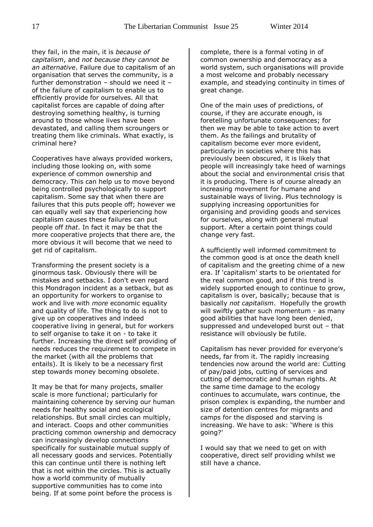they fail, in the main, it is *because of capitalism*, and *not because they cannot be an alternative*. Failure due to capitalism of an organisation that serves the community, is a further demonstration – should we need it – of the failure of capitalism to enable us to efficiently provide for ourselves. All that capitalist forces are capable of doing after destroying something healthy, is turning around to those whose lives have been devastated, and calling them scroungers or treating them like criminals. What exactly, is criminal here?

Cooperatives have always provided workers, including those looking on, with some experience of common ownership and democracy. This can help us to move beyond being controlled psychologically to support capitalism. Some say that when there are failures that this puts people off; however we can equally well say that experiencing how capitalism causes these failures can put people off *that*. In fact it may be that the more cooperative projects that there are, the more obvious it will become that we need to get rid of capitalism.

Transforming the present society is a ginormous task. Obviously there will be mistakes and setbacks. I don't even regard this Mondragon incident as a setback, but as an opportunity for workers to organise to work and live with *more* economic equality and quality of life. The thing to do is not to give up on cooperatives and indeed cooperative living in general, but for workers to self organise to take it on - to take it further. Increasing the direct self providing of needs reduces the requirement to compete in the market (with all the problems that entails). It is likely to be a necessary first step towards money becoming obsolete.

It may be that for many projects, smaller scale is more functional; particularly for maintaining coherence by serving our human needs for healthy social and ecological relationships. But small circles can multiply, and interact. Coops and other communities practicing common ownership and democracy can increasingly develop connections specifically for sustainable mutual supply of all necessary goods and services. Potentially this can continue until there is nothing left that is not within the circles. This is actually how a world community of mutually supportive communities has to come into being. If at some point before the process is

complete, there is a formal voting in of common ownership and democracy as a world system, such organisations will provide a most welcome and probably necessary example, and steadying continuity in times of great change.

One of the main uses of predictions, of course, if they are accurate enough, is foretelling unfortunate consequences; for then we may be able to take action to avert them. As the failings and brutality of capitalism become ever more evident, particularly in societies where this has previously been obscured, it is likely that people will increasingly take heed of warnings about the social and environmental crisis that it is producing. There is of course already an increasing movement for humane and sustainable ways of living. Plus technology is supplying increasing opportunities for organising and providing goods and services for ourselves, along with general mutual support. After a certain point things could change very fast.

A sufficiently well informed commitment to the common good is at once the death knell of capitalism and the greeting chime of a new era. If 'capitalism' starts to be orientated for the real common good, and if this trend is widely supported enough to continue to grow, capitalism is over, basically; because that is basically *not capitalism*. Hopefully the growth will swiftly gather such momentum - as many good abilities that have long been denied, suppressed and undeveloped burst out – that resistance will obviously be futile.

Capitalism has never provided for everyone's needs, far from it. The rapidly increasing tendencies now around the world are: Cutting of pay/paid jobs, cutting of services and cutting of democratic and human rights. At the same time damage to the ecology continues to accumulate, wars continue, the prison complex is expanding, the number and size of detention centres for migrants and camps for the disposed and starving is increasing. We have to ask: 'Where is this going?'

I would say that we need to get on with cooperative, direct self providing whilst we still have a chance.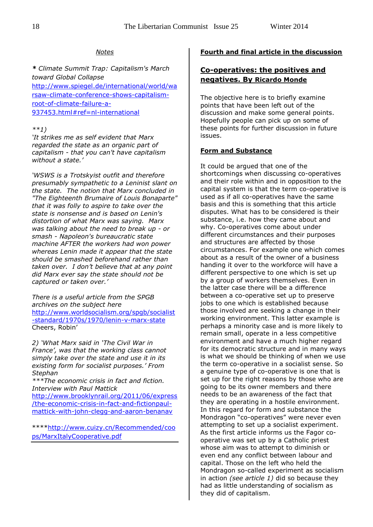#### *Notes*

*\* Climate Summit Trap: Capitalism's March toward Global Collapse* [http://www.spiegel.de/international/world/wa](http://www.spiegel.de/international/world/warsaw-climate-conference-shows-capitalism-root-of-climate-failure-a-937453.html#ref=nl-international) [rsaw-climate-conference-shows-capitalism](http://www.spiegel.de/international/world/warsaw-climate-conference-shows-capitalism-root-of-climate-failure-a-937453.html#ref=nl-international)[root-of-climate-failure-a-](http://www.spiegel.de/international/world/warsaw-climate-conference-shows-capitalism-root-of-climate-failure-a-937453.html#ref=nl-international)[937453.html#ref=nl-international](http://www.spiegel.de/international/world/warsaw-climate-conference-shows-capitalism-root-of-climate-failure-a-937453.html#ref=nl-international)

#### *\*\*1)*

*'It strikes me as self evident that Marx regarded the state as an organic part of capitalism - that you can't have capitalism without a state.'*

*'WSWS is a Trotskyist outfit and therefore presumably sympathetic to a Leninist slant on the state. The notion that Marx concluded in "The Eighteenth Brumaire of Louis Bonaparte" that it was folly to aspire to take over the state is nonsense and is based on Lenin's distortion of what Marx was saying. Marx was talking about the need to break up - or smash - Napoleon's bureaucratic state machine AFTER the workers had won power whereas Lenin made it appear that the state should be smashed beforehand rather than taken over. I don't believe that at any point did Marx ever say the state should not be captured or taken over.'*

*There is a useful article from the SPGB archives on the subject here* [http://www.worldsocialism.org/spgb/socialist](http://www.worldsocialism.org/spgb/socialist-standard/1970s/1970/lenin-v-marx-state) [-standard/1970s/1970/lenin-v-marx-state](http://www.worldsocialism.org/spgb/socialist-standard/1970s/1970/lenin-v-marx-state)  Cheers, Robin'

*2) 'What Marx said in 'The Civil War in France', was that the working class cannot simply take over the state and use it in its existing form for socialist purposes.' From Stephan*

*\*\*\*The economic crisis in fact and fiction. Interview with Paul Mattick*

[http://www.brooklynrail.org/2011/06/express](http://www.brooklynrail.org/2011/06/express/the-economic-crisis-in-fact-and-fictionpaul-mattick-with-john-clegg-and-aaron-benanav) [/the-economic-crisis-in-fact-and-fictionpaul](http://www.brooklynrail.org/2011/06/express/the-economic-crisis-in-fact-and-fictionpaul-mattick-with-john-clegg-and-aaron-benanav)[mattick-with-john-clegg-and-aaron-benanav](http://www.brooklynrail.org/2011/06/express/the-economic-crisis-in-fact-and-fictionpaul-mattick-with-john-clegg-and-aaron-benanav)

\*\*\*[\\*http://www.cuizy.cn/Recommended/coo](http://www.cuizy.cn/Recommended/coops/MarxItalyCooperative.pdf) [ps/MarxItalyCooperative.pdf](http://www.cuizy.cn/Recommended/coops/MarxItalyCooperative.pdf)

#### **Fourth and final article in the discussion**

#### **Co-operatives: the positives and negatives. By Ricardo Monde**

The objective here is to briefly examine points that have been left out of the discussion and make some general points. Hopefully people can pick up on some of these points for further discussion in future issues.

#### **Form and Substance**

It could be argued that one of the shortcomings when discussing co-operatives and their role within and in opposition to the capital system is that the term co-operative is used as if all co-operatives have the same basis and this is something that this article disputes. What has to be considered is their substance, i.e. how they came about and why. Co-operatives come about under different circumstances and their purposes and structures are affected by those circumstances. For example one which comes about as a result of the owner of a business handing it over to the workforce will have a different perspective to one which is set up by a group of workers themselves. Even in the latter case there will be a difference between a co-operative set up to preserve jobs to one which is established because those involved are seeking a change in their working environment. This latter example is perhaps a minority case and is more likely to remain small, operate in a less competitive environment and have a much higher regard for its democratic structure and in many ways is what we should be thinking of when we use the term co-operative in a socialist sense. So a genuine type of co-operative is one that is set up for the right reasons by those who are going to be its owner members and there needs to be an awareness of the fact that they are operating in a hostile environment. In this regard for form and substance the Mondragon "co-operatives" were never even attempting to set up a socialist experiment. As the first article informs us the Fagor cooperative was set up by a Catholic priest whose aim was to attempt to diminish or even end any conflict between labour and capital. Those on the left who held the Mondragon so-called experiment as socialism in action *(see article 1)* did so because they had as little understanding of socialism as they did of capitalism.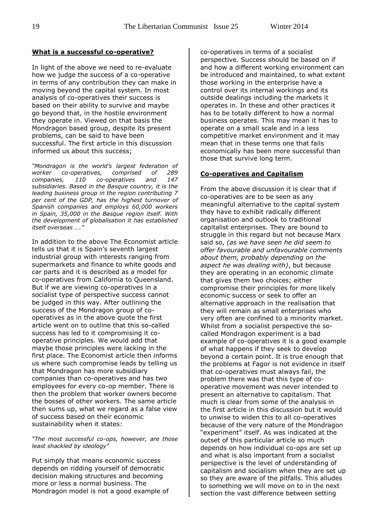#### **What is a successful co-operative?**

In light of the above we need to re-evaluate how we judge the success of a co-operative in terms of any contribution they can make in moving beyond the capital system. In most analysis of co-operatives their success is based on their ability to survive and maybe go beyond that, in the hostile environment they operate in. Viewed on that basis the Mondragon based group, despite its present problems, can be said to have been successful. The first article in this discussion informed us about this success;

*"Mondragon is the world's largest federation of worker co-operatives, comprised of 289 companies, 110 co-operatives and 147 subsidiaries. Based in the Basque country, it is the leading business group in the region contributing 7 per cent of the GDP, has the highest turnover of Spanish companies and employs 60,000 workers in Spain, 35,000 in the Basque region itself. With the development of globalisation it has established itself overseas …."* 

In addition to the above The Economist article tells us that it is Spain's seventh largest industrial group with interests ranging from supermarkets and finance to white goods and car parts and it is described as a model for co-operatives from California to Queensland. But if we are viewing co-operatives in a socialist type of perspective success cannot be judged in this way. After outlining the success of the Mondragon group of cooperatives as in the above quote the first article went on to outline that this so-called success has led to it compromising it cooperative principles. We would add that maybe those principles were lacking in the first place. The Economist article then informs us where such compromise leads by telling us that Mondragon has more subsidiary companies than co-operatives and has two employees for every co-op member. There is then the problem that worker owners become the bosses of other workers. The same article then sums up, what we regard as a false view of success based on their economic sustainability when it states:

*"The most successful co-ops, however, are those least shackled by ideology"*

Put simply that means economic success depends on ridding yourself of democratic decision making structures and becoming more or less a normal business. The Mondragon model is not a good example of co-operatives in terms of a socialist perspective. Success should be based on if and how a different working environment can be introduced and maintained, to what extent those working in the enterprise have a control over its internal workings and its outside dealings including the markets it operates in. In these and other practices it has to be totally different to how a normal business operates. This may mean it has to operate on a small scale and in a less competitive market environment and it may mean that in these terms one that fails economically has been more successful than those that survive long term.

#### **Co-operatives and Capitalism**

From the above discussion it is clear that if co-operatives are to be seen as any meaningful alternative to the capital system they have to exhibit radically different organisation and outlook to traditional capitalist enterprises. They are bound to struggle in this regard but not because Marx said so, *(as we have seen he did seem to offer favourable and unfavourable comments about them, probably depending on the aspect he was dealing with)*, but because they are operating in an economic climate that gives them two choices; either compromise their principles for more likely economic success or seek to offer an alternative approach in the realisation that they will remain as small enterprises who very often are confined to a minority market. Whilst from a socialist perspective the socalled Mondragon experiment is a bad example of co-operatives it is a good example of what happens if they seek to develop beyond a certain point. It is true enough that the problems at Fagor is not evidence in itself that co-operatives must always fail, the problem there was that this type of cooperative movement was never intended to present an alternative to capitalism. That much is clear from some of the analysis in the first article in this discussion but it would to unwise to widen this to all co-operatives because of the very nature of the Mondragon "experiment" itself. As was indicated at the outset of this particular article so much depends on how individual co-ops are set up and what is also important from a socialist perspective is the level of understanding of capitalism and socialism when they are set up so they are aware of the pitfalls. This alludes to something we will move on to in the next section the vast difference between setting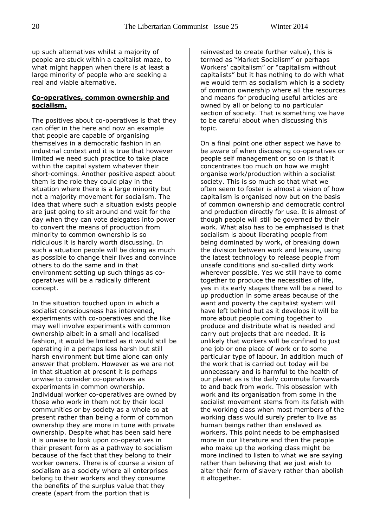up such alternatives whilst a majority of people are stuck within a capitalist maze, to what might happen when there is at least a large minority of people who are seeking a real and viable alternative.

#### **Co-operatives, common ownership and socialism.**

The positives about co-operatives is that they can offer in the here and now an example that people are capable of organising themselves in a democratic fashion in an industrial context and it is true that however limited we need such practice to take place within the capital system whatever their short-comings. Another positive aspect about them is the role they could play in the situation where there is a large minority but not a majority movement for socialism. The idea that where such a situation exists people are just going to sit around and wait for the day when they can vote delegates into power to convert the means of production from minority to common ownership is so ridiculous it is hardly worth discussing. In such a situation people will be doing as much as possible to change their lives and convince others to do the same and in that environment setting up such things as cooperatives will be a radically different concept.

In the situation touched upon in which a socialist consciousness has intervened, experiments with co-operatives and the like may well involve experiments with common ownership albeit in a small and localised fashion, it would be limited as it would still be operating in a perhaps less harsh but still harsh environment but time alone can only answer that problem. However as we are not in that situation at present it is perhaps unwise to consider co-operatives as experiments in common ownership. Individual worker co-operatives are owned by those who work in them not by their local communities or by society as a whole so at present rather than being a form of common ownership they are more in tune with private ownership. Despite what has been said here it is unwise to look upon co-operatives in their present form as a pathway to socialism because of the fact that they belong to their worker owners. There is of course a vision of socialism as a society where all enterprises belong to their workers and they consume the benefits of the surplus value that they create (apart from the portion that is

reinvested to create further value), this is termed as "Market Socialism" or perhaps Workers' capitalism" or "capitalism without capitalists" but it has nothing to do with what we would term as socialism which is a society of common ownership where all the resources and means for producing useful articles are owned by all or belong to no particular section of society. That is something we have to be careful about when discussing this topic.

On a final point one other aspect we have to be aware of when discussing co-operatives or people self management or so on is that it concentrates too much on how we might organise work/production within a socialist society. This is so much so that what we often seem to foster is almost a vision of how capitalism is organised now but on the basis of common ownership and democratic control and production directly for use. It is almost of though people will still be governed by their work. What also has to be emphasised is that socialism is about liberating people from being dominated by work, of breaking down the division between work and leisure, using the latest technology to release people from unsafe conditions and so-called dirty work wherever possible. Yes we still have to come together to produce the necessities of life, yes in its early stages there will be a need to up production in some areas because of the want and poverty the capitalist system will have left behind but as it develops it will be more about people coming together to produce and distribute what is needed and carry out projects that are needed. It is unlikely that workers will be confined to just one job or one place of work or to some particular type of labour. In addition much of the work that is carried out today will be unnecessary and is harmful to the health of our planet as is the daily commute forwards to and back from work. This obsession with work and its organisation from some in the socialist movement stems from its fetish with the working class when most members of the working class would surely prefer to live as human beings rather than enslaved as workers. This point needs to be emphasised more in our literature and then the people who make up the working class might be more inclined to listen to what we are saying rather than believing that we just wish to alter their form of slavery rather than abolish it altogether.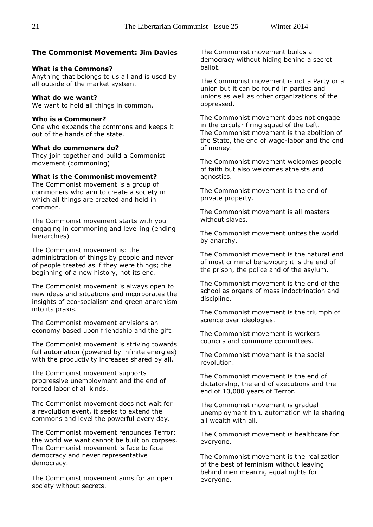#### **The Commonist Movement: Jim Davies**

#### **What is the Commons?**

Anything that belongs to us all and is used by all outside of the market system.

#### **What do we want?**

We want to hold all things in common.

#### **Who is a Commoner?**

One who expands the commons and keeps it out of the hands of the state.

#### **What do commoners do?**

They join together and build a Commonist movement (commoning)

#### **What is the Commonist movement?**

The Commonist movement is a group of commoners who aim to create a society in which all things are created and held in common.

The Commonist movement starts with you engaging in commoning and levelling (ending hierarchies)

The Commonist movement is: the administration of things by people and never of people treated as if they were things; the beginning of a new history, not its end.

The Commonist movement is always open to new ideas and situations and incorporates the insights of eco-socialism and green anarchism into its praxis.

The Commonist movement envisions an economy based upon friendship and the gift.

The Commonist movement is striving towards full automation (powered by infinite energies) with the productivity increases shared by all.

The Commonist movement supports progressive unemployment and the end of forced labor of all kinds.

The Commonist movement does not wait for a revolution event, it seeks to extend the commons and level the powerful every day.

The Commonist movement renounces Terror; the world we want cannot be built on corpses. The Commonist movement is face to face democracy and never representative democracy.

The Commonist movement aims for an open society without secrets.

The Commonist movement builds a democracy without hiding behind a secret ballot.

The Commonist movement is not a Party or a union but it can be found in parties and unions as well as other organizations of the oppressed.

The Commonist movement does not engage in the circular firing squad of the Left. The Commonist movement is the abolition of the State, the end of wage-labor and the end of money.

The Commonist movement welcomes people of faith but also welcomes atheists and agnostics.

The Commonist movement is the end of private property.

The Commonist movement is all masters without slaves.

The Commonist movement unites the world by anarchy.

The Commonist movement is the natural end of most criminal behaviour; it is the end of the prison, the police and of the asylum.

The Commonist movement is the end of the school as organs of mass indoctrination and discipline.

The Commonist movement is the triumph of science over ideologies.

The Commonist movement is workers councils and commune committees.

The Commonist movement is the social revolution.

The Commonist movement is the end of dictatorship, the end of executions and the end of 10,000 years of Terror.

The Commonist movement is gradual unemployment thru automation while sharing all wealth with all.

The Commonist movement is healthcare for everyone.

The Commonist movement is the realization of the best of feminism without leaving behind men meaning equal rights for everyone.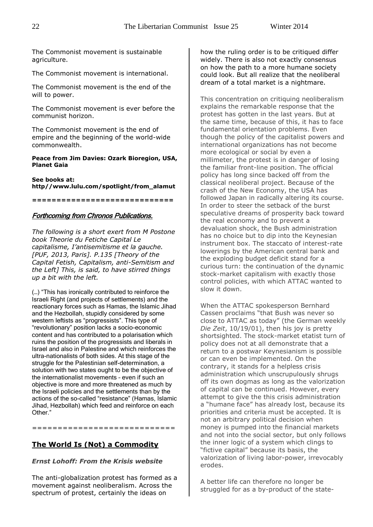The Commonist movement is sustainable agriculture.

The Commonist movement is international.

The Commonist movement is the end of the will to power.

The Commonist movement is ever before the communist horizon.

The Commonist movement is the end of empire and the beginning of the world-wide commonwealth.

#### **Peace from Jim Davies: Ozark Bioregion, USA, Planet Gaia**

**See books at: http//www.lulu.com/spotlight/from\_alamut**

**=============================**

#### Forthcoming from Chronos Publications.

*The following is a short exert from M Postone book Theorie du Fetiche Capital Le capitalisme, I'antisemitisme et la gauche. [PUF, 2013, Paris]. P.135 [Theory of the Capital Fetish, Capitalism, anti-Semitism and the Left] This, is said, to have stirred things up a bit with the left.*

(…) "This has ironically contributed to reinforce the Israeli Right (and projects of settlements) and the reactionary forces such as Hamas, the Islamic Jihad and the Hezbollah, stupidly considered by some western leftists as "progressists". This type of "revolutionary" position lacks a socio-economic content and has contributed to a polarisation which ruins the position of the progressists and liberals in Israel and also in Palestine and which reinforces the ultra-nationalists of both sides. At this stage of the struggle for the Palestinian self-determination, a solution with two states ought to be the objective of the internationalist movements – even if such an objective is more and more threatened as much by the Israeli policies and the settlements than by the actions of the so-called "resistance" (Hamas, Islamic Jihad, Hezbollah) which feed and reinforce on each Other."

### ============================

#### **The World Is (Not) a Commodity**

#### *Ernst Lohoff: From the Krisis website*

The anti-globalization protest has formed as a movement against neoliberalism. Across the spectrum of protest, certainly the ideas on

how the ruling order is to be critiqued differ widely. There is also not exactly consensus on how the path to a more humane society could look. But all realize that the neoliberal dream of a total market is a nightmare.

This concentration on critiquing neoliberalism explains the remarkable response that the protest has gotten in the last years. But at the same time, because of this, it has to face fundamental orientation problems. Even though the policy of the capitalist powers and international organizations has not become more ecological or social by even a millimeter, the protest is in danger of losing the familiar front-line position. The official policy has long since backed off from the classical neoliberal project. Because of the crash of the New Economy, the USA has followed Japan in radically altering its course. In order to steer the setback of the burst speculative dreams of prosperity back toward the real economy and to prevent a devaluation shock, the Bush administration has no choice but to dip into the Keynesian instrument box. The staccato of interest-rate lowerings by the American central bank and the exploding budget deficit stand for a curious turn: the continuation of the dynamic stock-market capitalism with exactly those control policies, with which ATTAC wanted to slow it down.

When the ATTAC spokesperson Bernhard Cassen proclaims "that Bush was never so close to ATTAC as today" (the German weekly *Die Zeit*, 10/19/01), then his joy is pretty shortsighted. The stock-market etatist turn of policy does not at all demonstrate that a return to a postwar Keynesianism is possible or can even be implemented. On the contrary, it stands for a helpless crisis administration which unscrupulously shrugs off its own dogmas as long as the valorization of capital can be continued. However, every attempt to give the this crisis administration a "humane face" has already lost, because its priorities and criteria must be accepted. It is not an arbitrary political decision when money is pumped into the financial markets and not into the social sector, but only follows the inner logic of a system which clings to "fictive capital" because its basis, the valorization of living labor-power, irrevocably erodes.

A better life can therefore no longer be struggled for as a by-product of the state-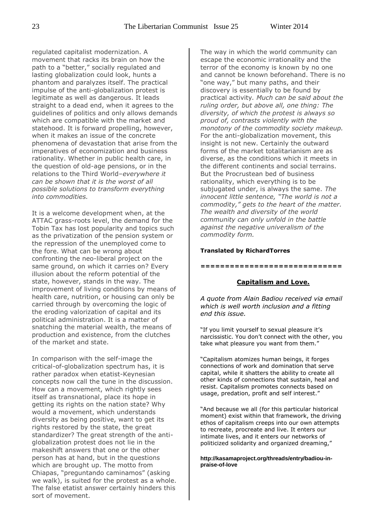regulated capitalist modernization. A movement that racks its brain on how the path to a "better," socially regulated and lasting globalization could look, hunts a phantom and paralyzes itself. The practical impulse of the anti-globalization protest is legitimate as well as dangerous. It leads straight to a dead end, when it agrees to the guidelines of politics and only allows demands which are compatible with the market and statehood. It is forward propelling, however, when it makes an issue of the concrete phenomena of devastation that arise from the imperatives of economization and business rationality. Whether in public health care, in the question of old-age pensions, or in the relations to the Third World–*everywhere it can be shown that it is the worst of all possible solutions to transform everything into commodities.*

It is a welcome development when, at the ATTAC grass-roots level, the demand for the Tobin Tax has lost popularity and topics such as the privatization of the pension system or the repression of the unemployed come to the fore. What can be wrong about confronting the neo-liberal project on the same ground, on which it carries on? Every illusion about the reform potential of the state, however, stands in the way. The improvement of living conditions by means of health care, nutrition, or housing can only be carried through by overcoming the logic of the eroding valorization of capital and its political administration. It is a matter of snatching the material wealth, the means of production and existence, from the clutches of the market and state.

In comparison with the self-image the critical-of-globalization spectrum has, it is rather paradox when etatist-Keynesian concepts now call the tune in the discussion. How can a movement, which rightly sees itself as transnational, place its hope in getting its rights on the nation state? Why would a movement, which understands diversity as being positive, want to get its rights restored by the state, the great standardizer? The great strength of the antiglobalization protest does not lie in the makeshift answers that one or the other person has at hand, but in the questions which are brought up. The motto from Chiapas, "preguntando caminamos" (asking we walk), is suited for the protest as a whole. The false etatist answer certainly hinders this sort of movement.

The way in which the world community can escape the economic irrationality and the terror of the economy is known by no one and cannot be known beforehand. There is no "one way," but many paths, and their discovery is essentially to be found by practical activity*. Much can be said about the ruling order, but above all, one thing: The diversity, of which the protest is always so proud of, contrasts violently with the monotony of the commodity society makeup.* For the anti-globalization movement, this insight is not new. Certainly the outward forms of the market totalitarianism are as diverse, as the conditions which it meets in the different continents and social terrains. But the Procrustean bed of business rationality, which everything is to be subjugated under, is always the same. *The innocent little sentence, "The world is not a commodity," gets to the heart of the matter. The wealth and diversity of the world community can only unfold in the battle against the negative univeralism of the commodity form.*

#### **Translated by RichardTorres**

#### **=============================**

#### **Capitalism and Love.**

*A quote from Alain Badiou received via email which is well worth inclusion and a fitting end this issue.*

"If you limit yourself to sexual pleasure it's narcissistic. You don't connect with the other, you take what pleasure you want from them."

"Capitalism atomizes human beings, it forges connections of work and domination that serve capital, while it shatters the ability to create all other kinds of connections that sustain, heal and resist. Capitalism promotes connects based on usage, predation, profit and self interest."

"And because we all (for this particular historical moment) exist within that framework, the driving ethos of capitalism creeps into our own attempts to recreate, procreate and live. It enters our intimate lives, and it enters our networks of politicized solidarity and organized dreaming,"

**http://kasamaproject.org/threads/entry/badiou-inpraise-of-love**